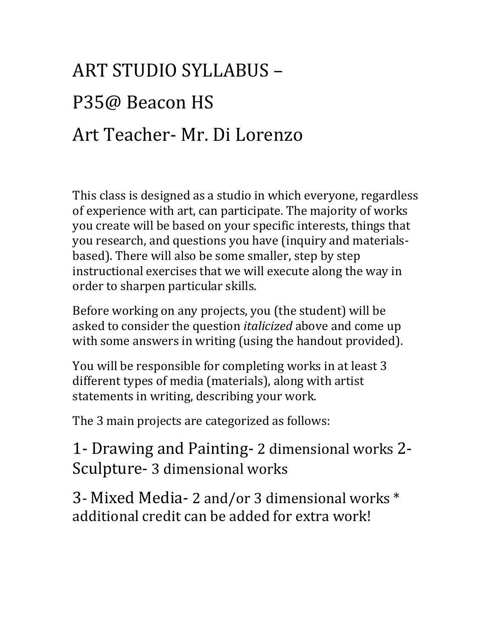## ART STUDIO SYLLABUS -P35@ Beacon HS Art Teacher- Mr. Di Lorenzo

This class is designed as a studio in which everyone, regardless of experience with art, can participate. The majority of works you create will be based on your specific interests, things that you research, and questions you have (inquiry and materialsbased). There will also be some smaller, step by step instructional exercises that we will execute along the way in order to sharpen particular skills.

Before working on any projects, you (the student) will be asked to consider the question *italicized* above and come up with some answers in writing (using the handout provided).

You will be responsible for completing works in at least 3 different types of media (materials), along with artist statements in writing, describing your work.

The 3 main projects are categorized as follows:

1- Drawing and Painting- 2 dimensional works 2-Sculpture- 3 dimensional works

3- Mixed Media- 2 and/or 3 dimensional works \* additional credit can be added for extra work!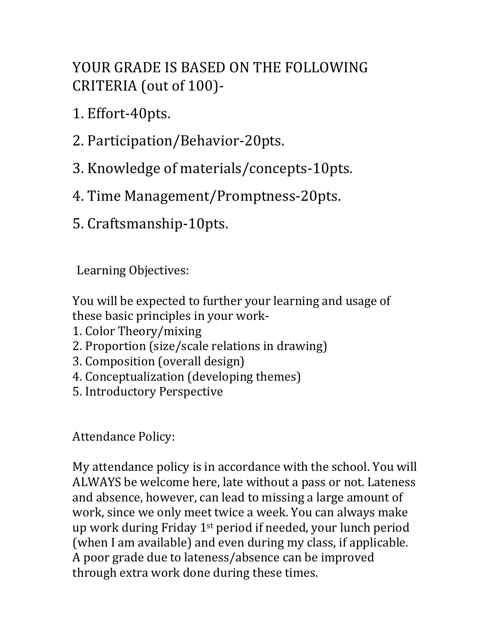## YOUR GRADE IS BASED ON THE FOLLOWING CRITERIA (out of 100)-

- 1. Effort-40pts.
- 2. Participation/Behavior-20pts.
- 3. Knowledge of materials/concepts-10pts.
- 4. Time Management/Promptness-20pts.
- 5. Craftsmanship-10pts.

Learning Objectives:

You will be expected to further your learning and usage of these basic principles in your work-

- 1. Color Theory/mixing
- 2. Proportion (size/scale relations in drawing)
- 3. Composition (overall design)
- 4. Conceptualization (developing themes)
- 5. Introductory Perspective

## Attendance Policy:

My attendance policy is in accordance with the school. You will ALWAYS be welcome here, late without a pass or not. Lateness and absence, however, can lead to missing a large amount of work, since we only meet twice a week. You can always make up work during Friday  $1^{st}$  period if needed, your lunch period (when I am available) and even during my class, if applicable. A poor grade due to lateness/absence can be improved through extra work done during these times.